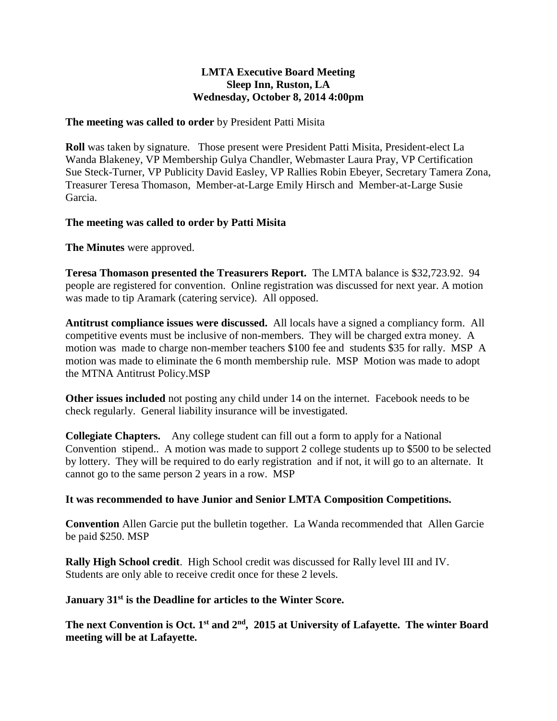## **LMTA Executive Board Meeting Sleep Inn, Ruston, LA Wednesday, October 8, 2014 4:00pm**

### **The meeting was called to order** by President Patti Misita

**Roll** was taken by signature. Those present were President Patti Misita, President-elect La Wanda Blakeney, VP Membership Gulya Chandler, Webmaster Laura Pray, VP Certification Sue Steck-Turner, VP Publicity David Easley, VP Rallies Robin Ebeyer, Secretary Tamera Zona, Treasurer Teresa Thomason, Member-at-Large Emily Hirsch and Member-at-Large Susie Garcia.

## **The meeting was called to order by Patti Misita**

**The Minutes** were approved.

**Teresa Thomason presented the Treasurers Report.** The LMTA balance is \$32,723.92. 94 people are registered for convention. Online registration was discussed for next year. A motion was made to tip Aramark (catering service). All opposed.

**Antitrust compliance issues were discussed.** All locals have a signed a compliancy form. All competitive events must be inclusive of non-members. They will be charged extra money. A motion was made to charge non-member teachers \$100 fee and students \$35 for rally. MSP A motion was made to eliminate the 6 month membership rule. MSP Motion was made to adopt the MTNA Antitrust Policy.MSP

**Other issues included** not posting any child under 14 on the internet. Facebook needs to be check regularly. General liability insurance will be investigated.

**Collegiate Chapters.** Any college student can fill out a form to apply for a National Convention stipend.. A motion was made to support 2 college students up to \$500 to be selected by lottery. They will be required to do early registration and if not, it will go to an alternate. It cannot go to the same person 2 years in a row. MSP

# **It was recommended to have Junior and Senior LMTA Composition Competitions.**

**Convention** Allen Garcie put the bulletin together. La Wanda recommended that Allen Garcie be paid \$250. MSP

**Rally High School credit**. High School credit was discussed for Rally level III and IV. Students are only able to receive credit once for these 2 levels.

### **January 31st is the Deadline for articles to the Winter Score.**

**The next Convention is Oct. 1st and 2nd , 2015 at University of Lafayette. The winter Board meeting will be at Lafayette.**